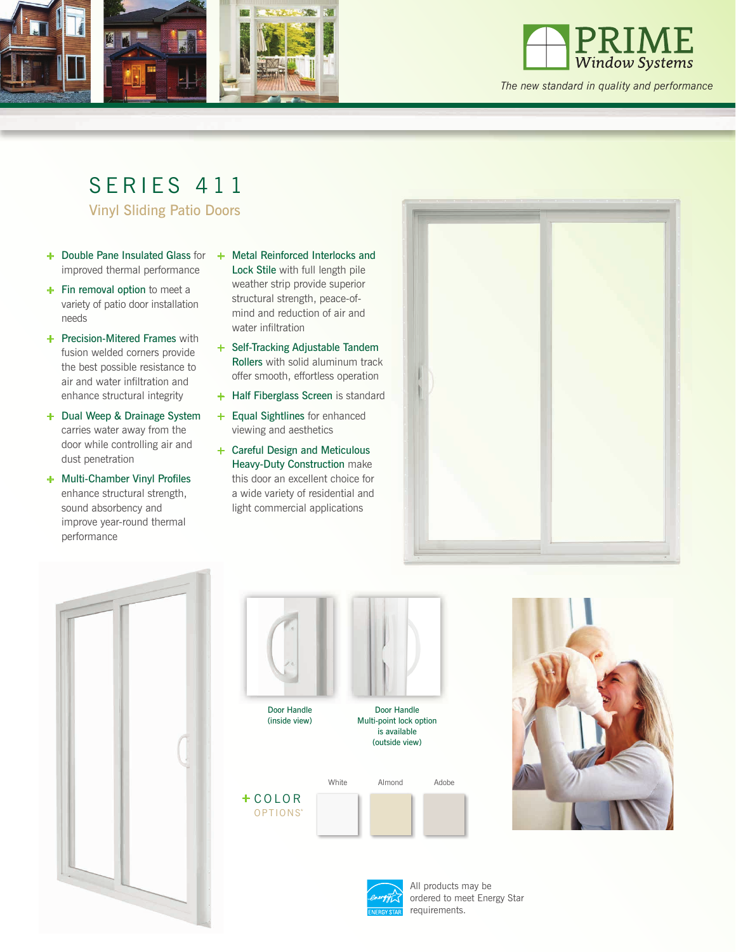



*The new standard in quality and performance*

## SERIES 411

Vinyl Sliding Patio Doors

- **+** Double Pane Insulated Glass for **+** Metal Reinforced Interlocks and improved thermal performance
- **+** Fin removal option to meet a variety of patio door installation needs
- **+** Precision-Mitered Frames with fusion welded corners provide the best possible resistance to air and water infiltration and enhance structural integrity
- **+** Dual Weep & Drainage System carries water away from the door while controlling air and dust penetration
- **+** Multi-Chamber Vinyl Profiles enhance structural strength, sound absorbency and improve year-round thermal performance
- Lock Stile with full length pile weather strip provide superior structural strength, peace-ofmind and reduction of air and water infiltration
- **+** Self-Tracking Adjustable Tandem Rollers with solid aluminum track offer smooth, effortless operation
- **+** Half Fiberglass Screen is standard
- **+** Equal Sightlines for enhanced viewing and aesthetics
- **+** Careful Design and Meticulous Heavy-Duty Construction make this door an excellent choice for a wide variety of residential and light commercial applications











All products may be ordered to meet Energy Star requirements.